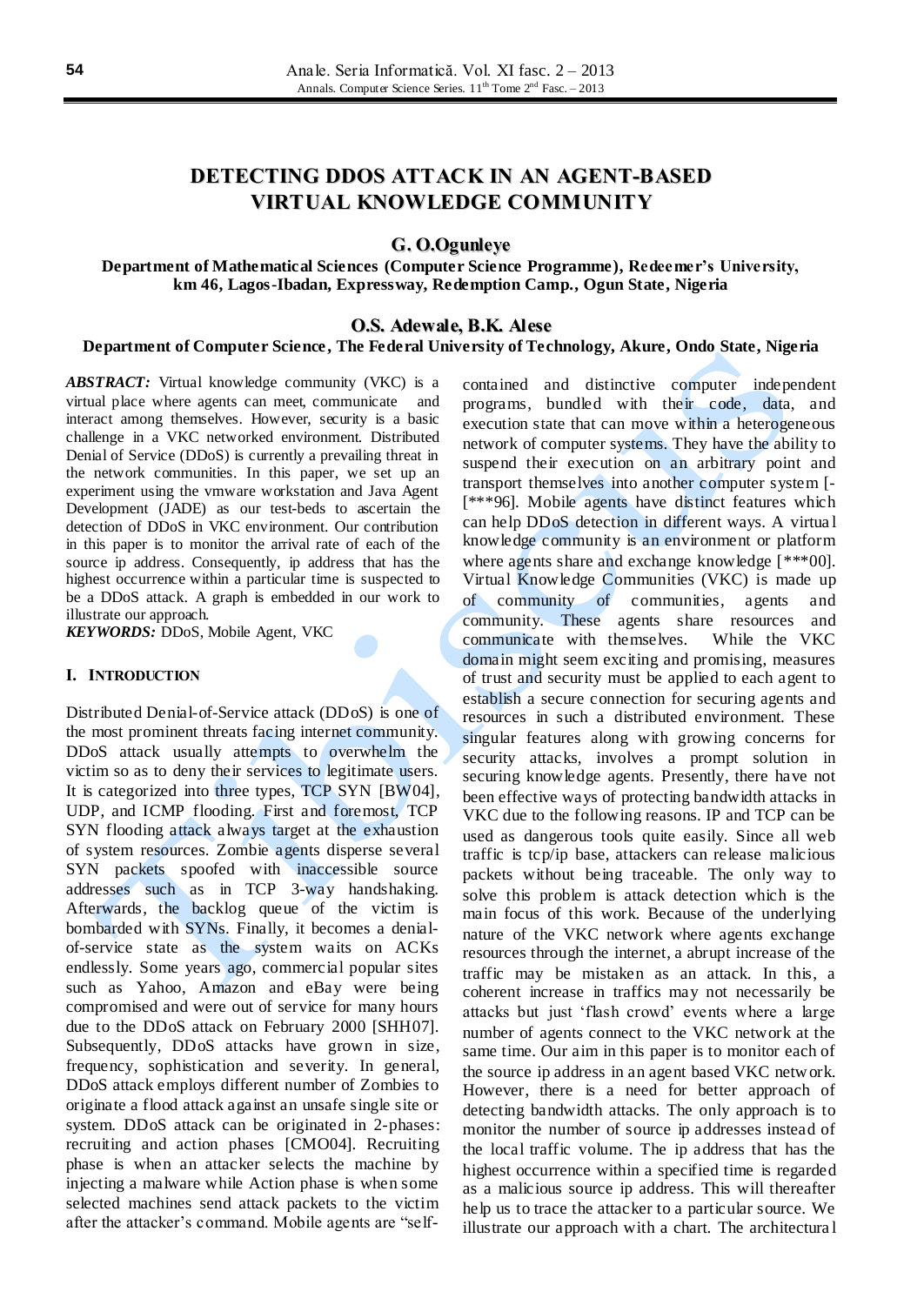# **DETECTING DDOS ATTACK IN AN AGENT-BASED VIRTUAL KNOWLEDGE COMMUNITY**

# **G. O.Ogunleye**

**Department of Mathematical Sciences (Computer Science Programme), Redeemer's University, km 46, Lagos-Ibadan, Expressway, Redemption Camp., Ogun State, Nigeria**

### **O.S. Adewale, B.K. Alese**

### **Department of Computer Science , The Federal University of Technology, Akure, Ondo State, Nigeria**

*ABSTRACT:* Virtual knowledge community (VKC) is a virtual place where agents can meet, communicate and interact among themselves. However, security is a basic challenge in a VKC networked environment. Distributed Denial of Service (DDoS) is currently a prevailing threat in the network communities. In this paper, we set up an experiment using the vmware workstation and Java Agent Development (JADE) as our test-beds to ascertain the detection of DDoS in VKC environment. Our contribution in this paper is to monitor the arrival rate of each of the source ip address. Consequently, ip address that has the highest occurrence within a particular time is suspected to be a DDoS attack. A graph is embedded in our work to illustrate our approach.

*KEYWORDS:* DDoS, Mobile Agent, VKC

#### **I. INTRODUCTION**

Distributed Denial-of-Service attack (DDoS) is one of the most prominent threats facing internet community. DDoS attack usually attempts to overwhelm the victim so as to deny their services to legitimate users. It is categorized into three types, TCP SYN [BW04], UDP, and ICMP flooding. First and foremost, TCP SYN flooding attack always target at the exhaustion of system resources. Zombie agents disperse several SYN packets spoofed with inaccessible source addresses such as in TCP 3-way handshaking. Afterwards, the backlog queue of the victim is bombarded with SYNs. Finally, it becomes a denialof-service state as the system waits on ACKs endlessly. Some years ago, commercial popular sites such as Yahoo, Amazon and eBay were being compromised and were out of service for many hours due to the DDoS attack on February 2000 [SHH07]. Subsequently, DDoS attacks have grown in size, frequency, sophistication and severity. In general, DDoS attack employs different number of Zombies to originate a flood attack against an unsafe single site or system. DDoS attack can be originated in 2-phases: recruiting and action phases [CMO04]. Recruiting phase is when an attacker selects the machine by injecting a malware while Action phase is when some selected machines send attack packets to the victim after the attacker's command. Mobile agents are "selfcontained and distinctive computer independent programs, bundled with their code, data, and execution state that can move within a heterogeneous network of computer systems. They have the ability to suspend their execution on an arbitrary point and transport themselves into another computer system [- [\*\*\*96]. Mobile agents have distinct features which can help DDoS detection in different ways. A virtua l knowledge community is an environment or platform where agents share and exchange knowledge [\*\*\*00]. Virtual Knowledge Communities (VKC) is made up of community of communities, agents and community. These agents share resources and communicate with themselves. While the VKC domain might seem exciting and promising, measures of trust and security must be applied to each agent to establish a secure connection for securing agents and resources in such a distributed environment. These singular features along with growing concerns for security attacks, involves a prompt solution in securing knowledge agents. Presently, there have not been effective ways of protecting bandwidth attacks in VKC due to the following reasons. IP and TCP can be used as dangerous tools quite easily. Since all web traffic is tcp/ip base, attackers can release malicious packets without being traceable. The only way to solve this problem is attack detection which is the main focus of this work. Because of the underlying nature of the VKC network where agents exchange resources through the internet, a abrupt increase of the traffic may be mistaken as an attack. In this, a coherent increase in traffics may not necessarily be attacks but just 'flash crowd' events where a large number of agents connect to the VKC network at the same time. Our aim in this paper is to monitor each of the source ip address in an agent based VKC network. However, there is a need for better approach of detecting bandwidth attacks. The only approach is to monitor the number of source ip addresses instead of the local traffic volume. The ip address that has the highest occurrence within a specified time is regarded as a malicious source ip address. This will thereafter help us to trace the attacker to a particular source. We illustrate our approach with a chart. The architectura l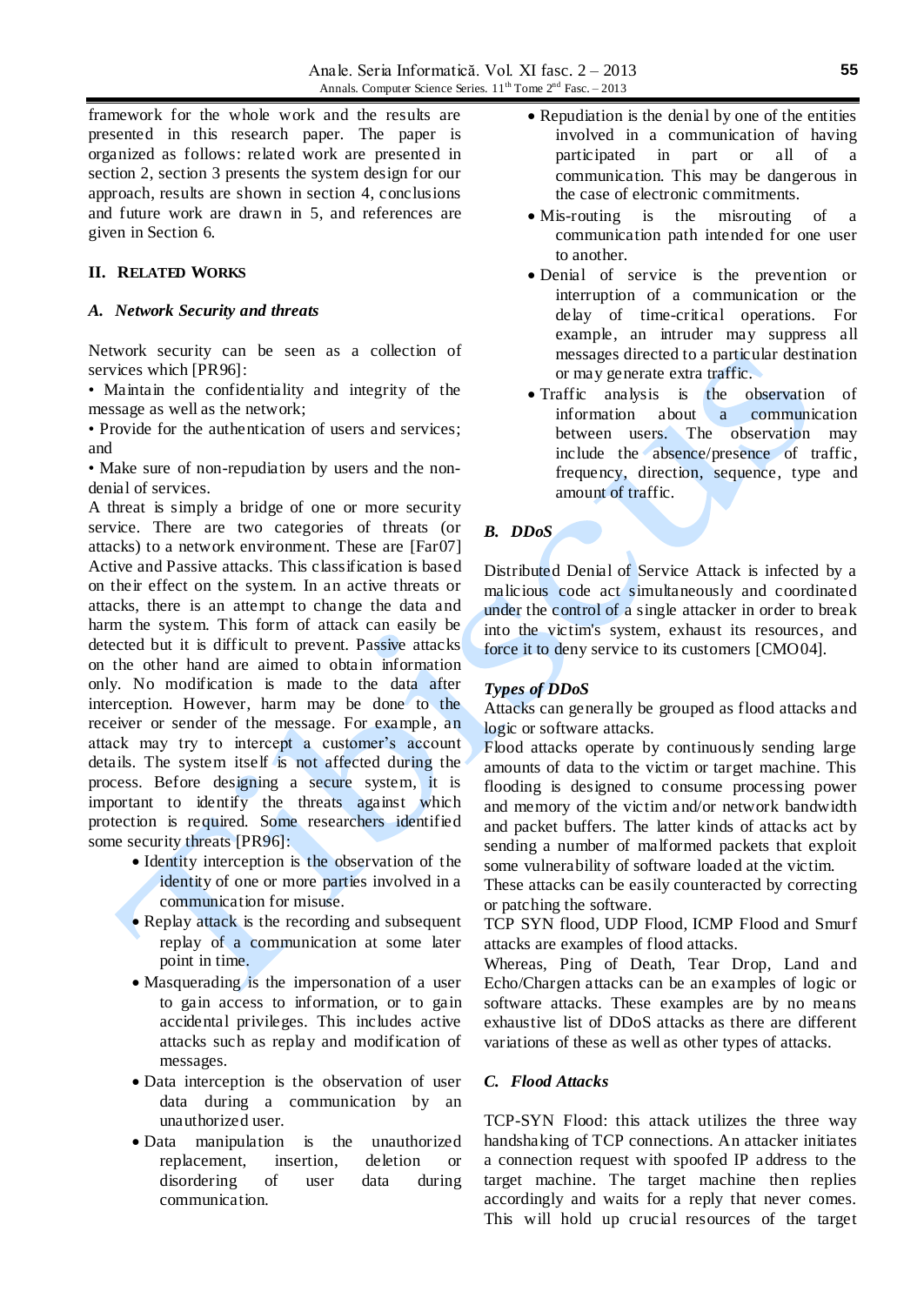framework for the whole work and the results are presented in this research paper. The paper is organized as follows: related work are presented in section 2, section 3 presents the system design for our approach, results are shown in section 4, conclusions and future work are drawn in 5, and references are given in Section 6.

### **II. RELATED WORKS**

#### *A. Network Security and threats*

Network security can be seen as a collection of services which [PR96]:

• Maintain the confidentiality and integrity of the message as well as the network;

• Provide for the authentication of users and services; and

• Make sure of non-repudiation by users and the nondenial of services.

A threat is simply a bridge of one or more security service. There are two categories of threats (or attacks) to a network environment. These are [Far07] Active and Passive attacks. This classification is based on their effect on the system. In an active threats or attacks, there is an attempt to change the data and harm the system. This form of attack can easily be detected but it is difficult to prevent. Passive attacks on the other hand are aimed to obtain information only. No modification is made to the data after interception. However, harm may be done to the receiver or sender of the message. For example, an attack may try to intercept a customer's account details. The system itself is not affected during the process. Before designing a secure system, it is important to identify the threats against which protection is required. Some researchers identified some security threats [PR96]:

- Identity interception is the observation of the identity of one or more parties involved in a communication for misuse.
- Replay attack is the recording and subsequent replay of a communication at some later point in time.
- Masquerading is the impersonation of a user to gain access to information, or to gain accidental privileges. This includes active attacks such as replay and modification of messages.
- Data interception is the observation of user data during a communication by an unauthorized user.
- Data manipulation is the unauthorized replacement, insertion, deletion or disordering of user data during communication.
- Repudiation is the denial by one of the entities involved in a communication of having participated in part or all of a communication. This may be dangerous in the case of electronic commitments.
- Mis-routing is the misrouting of a communication path intended for one user to another.
- Denial of service is the prevention or interruption of a communication or the delay of time-critical operations. For example, an intruder may suppress all messages directed to a particular destination or may generate extra traffic.
- Traffic analysis is the observation of information about a communication between users. The observation may include the absence/presence of traffic, frequency, direction, sequence, type and amount of traffic.

### *B. DDoS*

Distributed Denial of Service Attack is infected by a malicious code act simultaneously and coordinated under the control of a single attacker in order to break into the victim's system, exhaust its resources, and force it to deny service to its customers [CMO04].

#### *Types of DDoS*

Attacks can generally be grouped as flood attacks and logic or software attacks.

Flood attacks operate by continuously sending large amounts of data to the victim or target machine. This flooding is designed to consume processing power and memory of the victim and/or network bandwidth and packet buffers. The latter kinds of attacks act by sending a number of malformed packets that exploit some vulnerability of software loaded at the victim.

These attacks can be easily counteracted by correcting or patching the software.

TCP SYN flood, UDP Flood, ICMP Flood and Smurf attacks are examples of flood attacks.

Whereas, Ping of Death, Tear Drop, Land and Echo/Chargen attacks can be an examples of logic or software attacks. These examples are by no means exhaustive list of DDoS attacks as there are different variations of these as well as other types of attacks.

#### *C. Flood Attacks*

TCP-SYN Flood: this attack utilizes the three way handshaking of TCP connections. An attacker initiates a connection request with spoofed IP address to the target machine. The target machine then replies accordingly and waits for a reply that never comes. This will hold up crucial resources of the target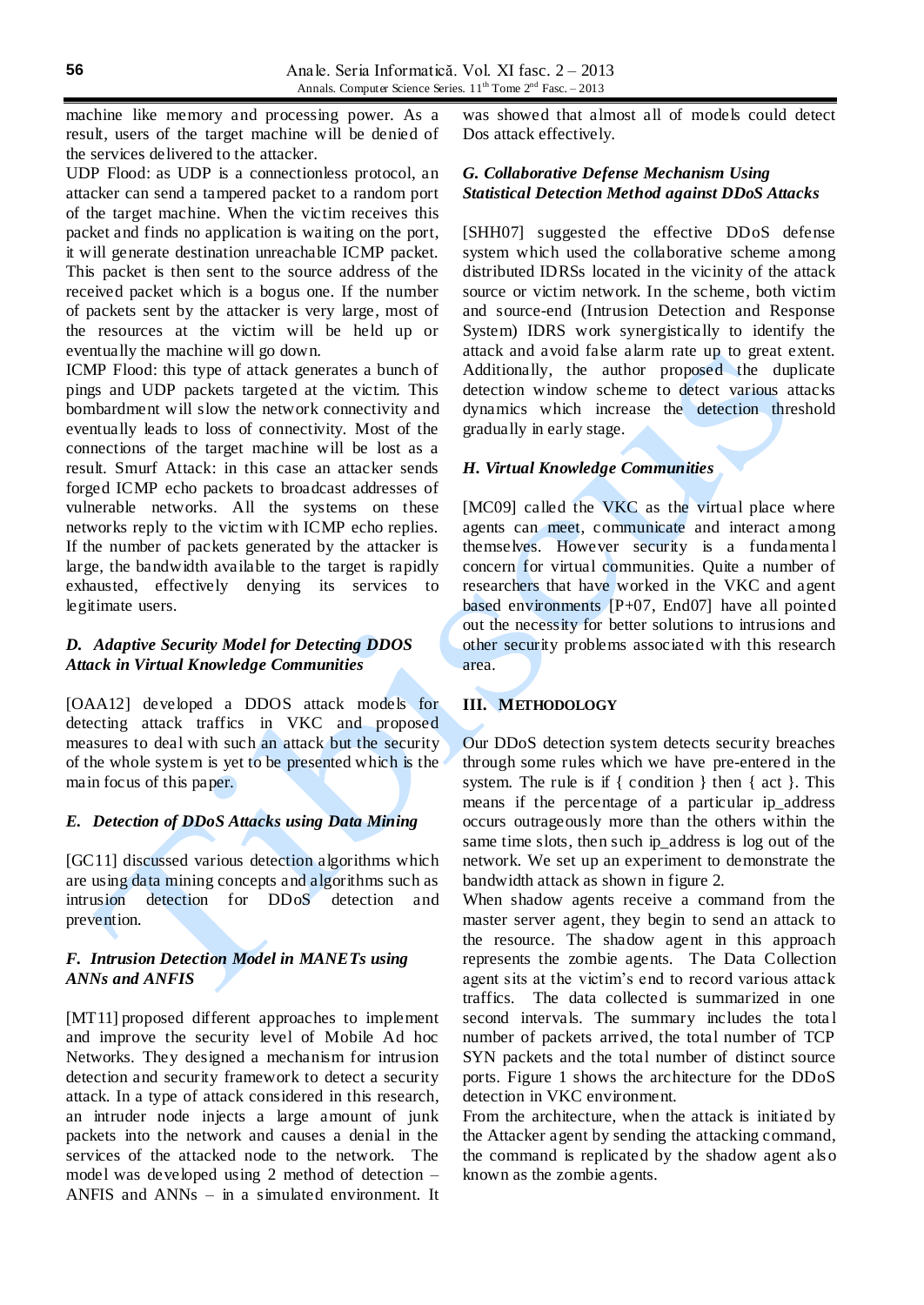machine like memory and processing power. As a result, users of the target machine will be denied of the services delivered to the attacker.

UDP Flood: as UDP is a connectionless protocol, an attacker can send a tampered packet to a random port of the target machine. When the victim receives this packet and finds no application is waiting on the port, it will generate destination unreachable ICMP packet. This packet is then sent to the source address of the received packet which is a bogus one. If the number of packets sent by the attacker is very large, most of the resources at the victim will be held up or eventually the machine will go down.

ICMP Flood: this type of attack generates a bunch of pings and UDP packets targeted at the victim. This bombardment will slow the network connectivity and eventually leads to loss of connectivity. Most of the connections of the target machine will be lost as a result. Smurf Attack: in this case an attacker sends forged ICMP echo packets to broadcast addresses of vulnerable networks. All the systems on these networks reply to the victim with ICMP echo replies. If the number of packets generated by the attacker is large, the bandwidth available to the target is rapidly exhausted, effectively denying its services to legitimate users.

### *D. Adaptive Security Model for Detecting DDOS Attack in Virtual Knowledge Communities*

[OAA12] developed a DDOS attack models for detecting attack traffics in VKC and proposed measures to deal with such an attack but the security of the whole system is yet to be presented which is the main focus of this paper.

#### *E. Detection of DDoS Attacks using Data Mining*

[GC11] discussed various detection algorithms which are using data mining concepts and algorithms such as intrusion detection for DDoS detection and prevention.

# *F. Intrusion Detection Model in MANETs using ANNs and ANFIS*

[MT11] proposed different approaches to implement and improve the security level of Mobile Ad hoc Networks. They designed a mechanism for intrusion detection and security framework to detect a security attack. In a type of attack considered in this research, an intruder node injects a large amount of junk packets into the network and causes a denial in the services of the attacked node to the network. The model was developed using 2 method of detection – ANFIS and ANNs – in a simulated environment. It was showed that almost all of models could detect Dos attack effectively.

### *G. Collaborative Defense Mechanism Using Statistical Detection Method against DDoS Attacks*

[SHH07] suggested the effective DDoS defense system which used the collaborative scheme among distributed IDRSs located in the vicinity of the attack source or victim network. In the scheme, both victim and source-end (Intrusion Detection and Response System) IDRS work synergistically to identify the attack and avoid false alarm rate up to great extent. Additionally, the author proposed the duplicate detection window scheme to detect various attacks dynamics which increase the detection threshold gradually in early stage.

## *H. Virtual Knowledge Communities*

[MC09] called the VKC as the virtual place where agents can meet, communicate and interact among themselves. However security is a fundamenta l concern for virtual communities. Quite a number of researchers that have worked in the VKC and agent based environments [P+07, End07] have all pointed out the necessity for better solutions to intrusions and other security problems associated with this research area.

# **III. METHODOLOGY**

Our DDoS detection system detects security breaches through some rules which we have pre-entered in the system. The rule is if { condition } then { act }. This means if the percentage of a particular ip\_address occurs outrageously more than the others within the same time slots, then such ip\_address is log out of the network. We set up an experiment to demonstrate the bandwidth attack as shown in figure 2.

When shadow agents receive a command from the master server agent, they begin to send an attack to the resource. The shadow agent in this approach represents the zombie agents. The Data Collection agent sits at the victim's end to record various attack traffics. The data collected is summarized in one second intervals. The summary includes the tota l number of packets arrived, the total number of TCP SYN packets and the total number of distinct source ports. Figure 1 shows the architecture for the DDoS detection in VKC environment.

From the architecture, when the attack is initiated by the Attacker agent by sending the attacking command, the command is replicated by the shadow agent als o known as the zombie agents.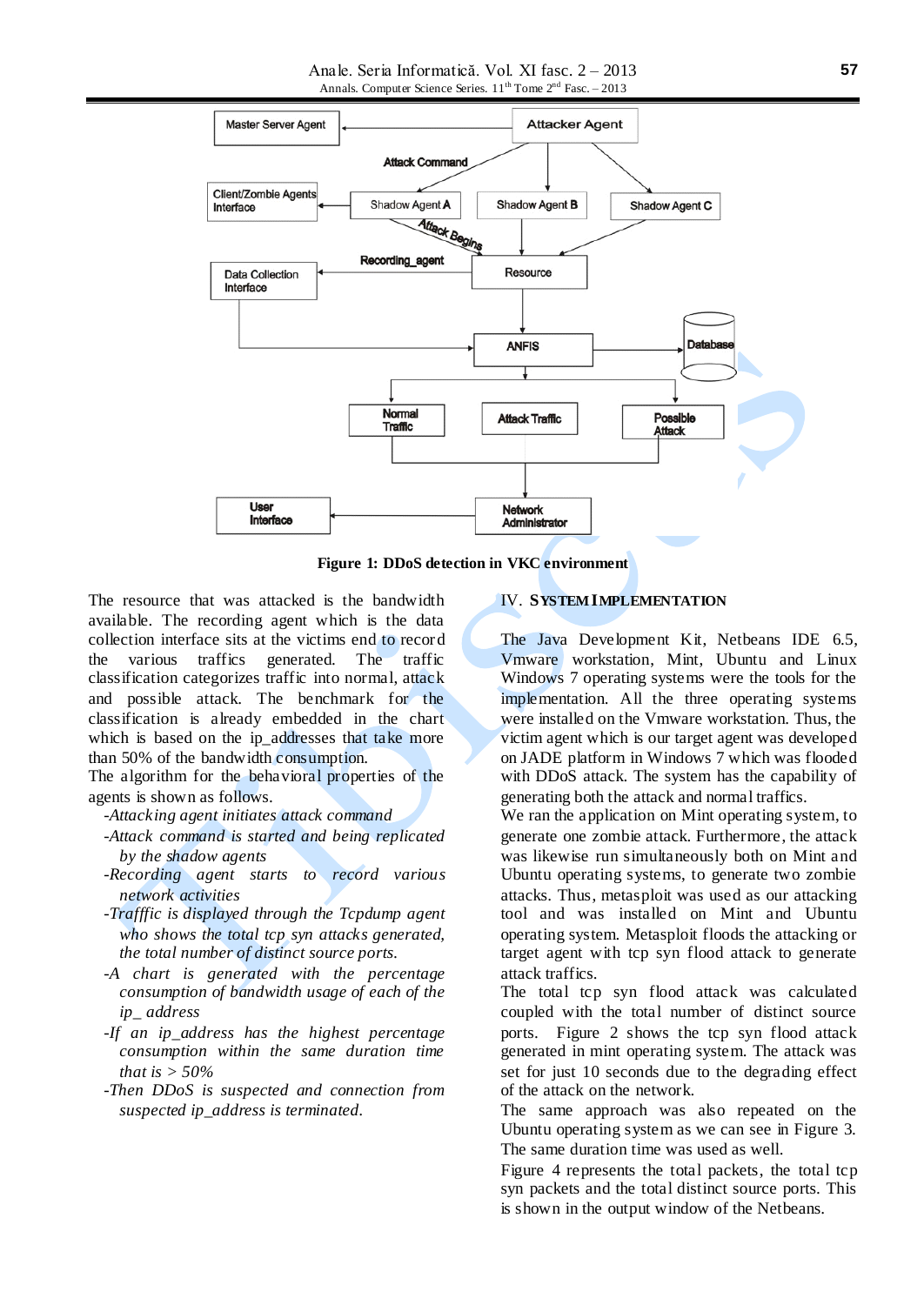

**Figure 1: DDoS detection in VKC environment**

The resource that was attacked is the bandwidth available. The recording agent which is the data collection interface sits at the victims end to record the various traffics generated. The traffic classification categorizes traffic into normal, attack and possible attack. The benchmark for the classification is already embedded in the chart which is based on the ip\_addresses that take more than 50% of the bandwidth consumption.

The algorithm for the behavioral properties of the agents is shown as follows.

*-Attacking agent initiates attack command*

*-Attack command is started and being replicated by the shadow agents*

*-Recording agent starts to record various network activities*

*-Trafffic is displayed through the Tcpdump agent who shows the total tcp syn attacks generated, the total number of distinct source ports.*

*-A chart is generated with the percentage consumption of bandwidth usage of each of the ip\_ address*

- *-If an ip\_address has the highest percentage consumption within the same duration time that is > 50%*
- *-Then DDoS is suspected and connection from suspected ip\_address is terminated.*

#### IV. **SYSTEM IMPLEMENTATION**

The Java Development Kit, Netbeans IDE 6.5, Vmware workstation, Mint, Ubuntu and Linux Windows 7 operating systems were the tools for the implementation. All the three operating systems were installed on the Vmware workstation. Thus, the victim agent which is our target agent was developed on JADE platform in Windows 7 which was flooded with DDoS attack. The system has the capability of generating both the attack and normal traffics.

We ran the application on Mint operating system, to generate one zombie attack. Furthermore, the attack was likewise run simultaneously both on Mint and Ubuntu operating systems, to generate two zombie attacks. Thus, metasploit was used as our attacking tool and was installed on Mint and Ubuntu operating system. Metasploit floods the attacking or target agent with tcp syn flood attack to generate attack traffics.

The total tcp syn flood attack was calculated coupled with the total number of distinct source ports. Figure 2 shows the tcp syn flood attack generated in mint operating system. The attack was set for just 10 seconds due to the degrading effect of the attack on the network.

The same approach was also repeated on the Ubuntu operating system as we can see in Figure 3. The same duration time was used as well.

Figure 4 represents the total packets, the total tcp syn packets and the total distinct source ports. This is shown in the output window of the Netbeans.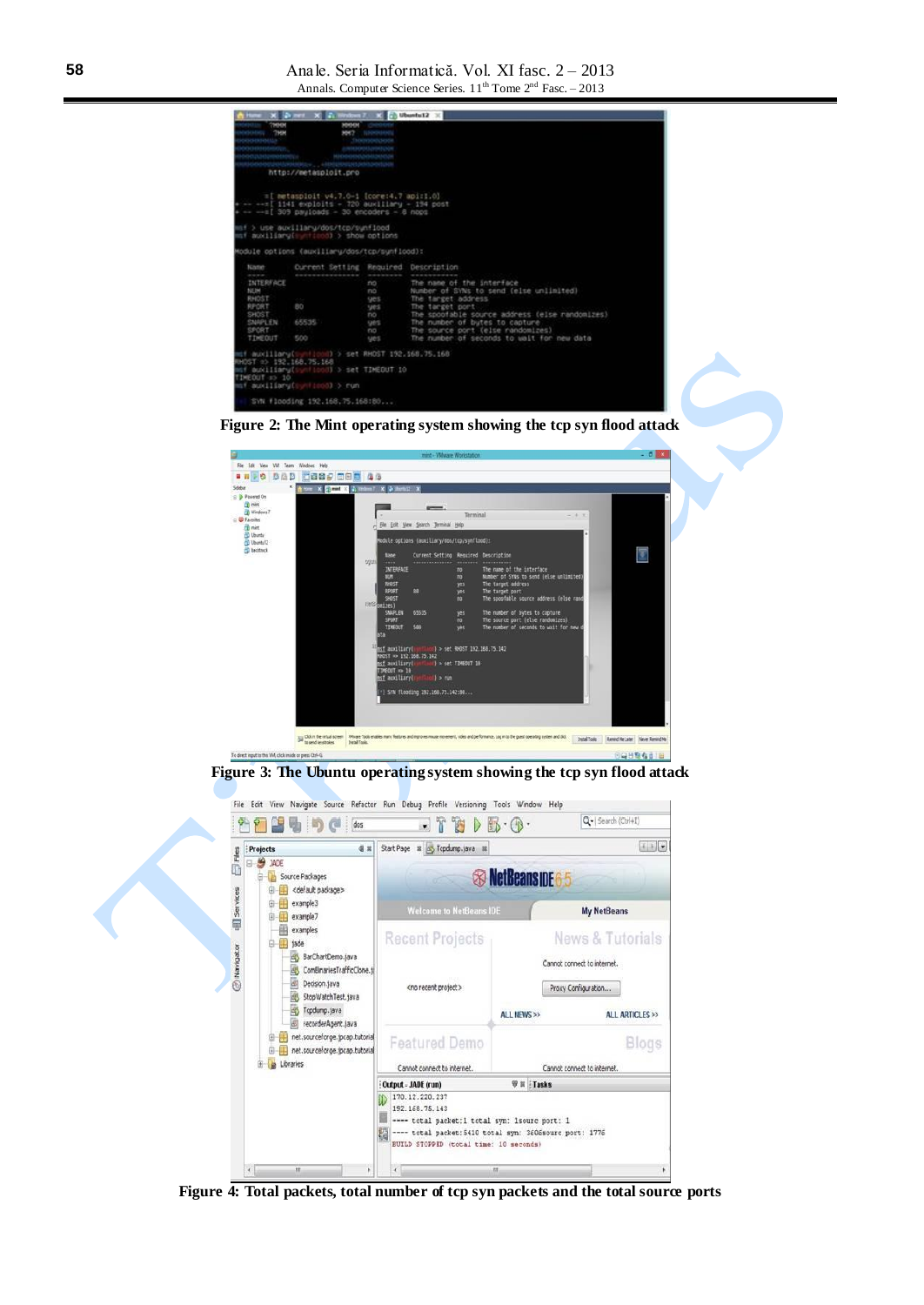|                                                                                          | Home: X Driver X C Hombatt X X C Ubuntuti2 X                                                                                                                    |                                                                      |                                                                                                                                                                                                                                                                                      |
|------------------------------------------------------------------------------------------|-----------------------------------------------------------------------------------------------------------------------------------------------------------------|----------------------------------------------------------------------|--------------------------------------------------------------------------------------------------------------------------------------------------------------------------------------------------------------------------------------------------------------------------------------|
| <b>THREN</b><br><b>STRACTORY THEN</b><br><b>SERIES CONTRACTOR</b><br>ооснинения,         | <b>ENVIRONMENTAL</b><br>Report Follows - Representative<br>sooogaataaajgaa , aaggaataaanaanaa<br>http://metasploit.pro                                          | <b>MARINE CHARGES</b><br><b>NHT</b> Internet<br><b>Thomasouvages</b> |                                                                                                                                                                                                                                                                                      |
|                                                                                          | =1 metasploit v4.7.0-1 (core:4.7 apiri.0)<br>-- -- I 1141 exploits - 720 auxiliary - 194 post<br>$+ - - 1$ 309 payloads - 30 encoders - 8 nops                  |                                                                      |                                                                                                                                                                                                                                                                                      |
|                                                                                          | mf > use auxillary/dos/tcp/sunflood<br>mf moviliary[ unticod] > show options                                                                                    |                                                                      |                                                                                                                                                                                                                                                                                      |
|                                                                                          | Module options (auxiliary/dos/tcp/synficod);                                                                                                                    |                                                                      |                                                                                                                                                                                                                                                                                      |
| <b>National</b><br><b>STATISTICS</b>                                                     | Current Setting Required Description                                                                                                                            |                                                                      |                                                                                                                                                                                                                                                                                      |
| <b>INTERFACE</b><br>NUM<br>RHOST<br>RPORT<br>SHOST<br><b>SNAPLEN</b><br>SPORT<br>TIMEDUT | BD.<br>65535<br>500                                                                                                                                             | TIO <sup>11</sup><br>no<br>ues.<br>yes.<br>no.<br>ges.<br>no.<br>ues | The name of the interface<br>Number of SYNs to send (else unlimited)<br>The target address<br>The target port<br>The spoofable source address (else randomizes)<br>The number of butes to capture<br>The source port (else randomizes)<br>The number of seconds to wait for new data |
| RHOST at 192.168.75.168<br>INFOUT => 10                                                  | mt auxillaru[sunflood] > set RHOST 192,168,75,168<br>mif auxiliary[synficod] > set TIMEOUT 10<br>mf auxiliary[continual > run<br>SVN flooding 192.168.75.168:80 |                                                                      |                                                                                                                                                                                                                                                                                      |





**Figure 3: The Ubuntu operating system showing the tcp syn flood attack**



**Figure 4: Total packets, total number of tcp syn packets and the total source ports**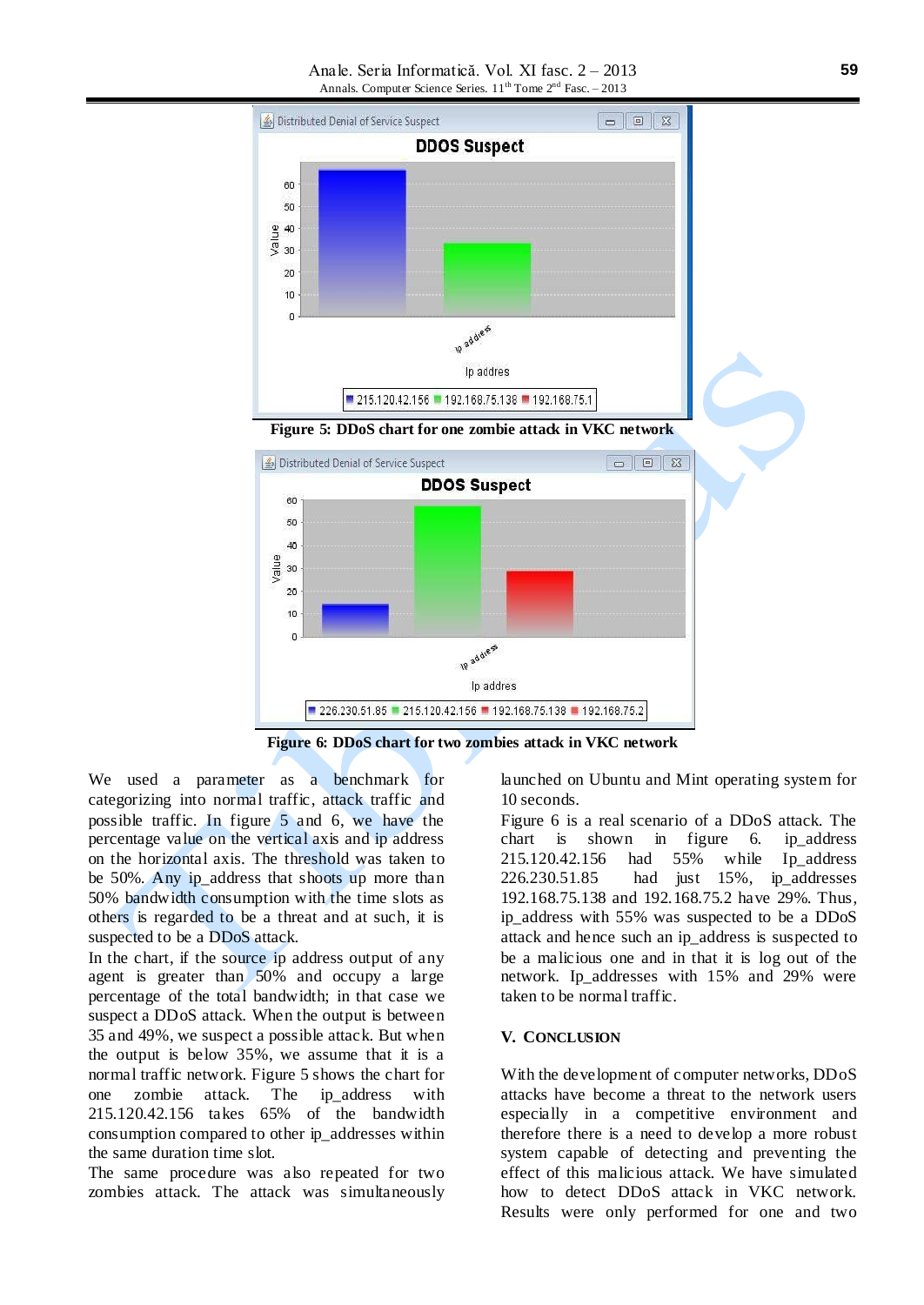

**Figure 6: DDoS chart for two zombies attack in VKC network**

We used a parameter as a benchmark for categorizing into normal traffic, attack traffic and possible traffic. In figure 5 and 6, we have the percentage value on the vertical axis and ip address on the horizontal axis. The threshold was taken to be 50%. Any ip\_address that shoots up more than 50% bandwidth consumption with the time slots as others is regarded to be a threat and at such, it is suspected to be a DDoS attack.

In the chart, if the source ip address output of any agent is greater than 50% and occupy a large percentage of the total bandwidth; in that case we suspect a DDoS attack. When the output is between 35 and 49%, we suspect a possible attack. But when the output is below 35%, we assume that it is a normal traffic network. Figure 5 shows the chart for one zombie attack. The ip\_address with 215.120.42.156 takes 65% of the bandwidth consumption compared to other ip\_addresses within the same duration time slot.

The same procedure was also repeated for two zombies attack. The attack was simultaneously launched on Ubuntu and Mint operating system for 10 seconds.

Figure 6 is a real scenario of a DDoS attack. The chart is shown in figure 6. ip\_address 215.120.42.156 had 55% while Ip\_address 226.230.51.85 had just 15%, ip\_addresses 192.168.75.138 and 192.168.75.2 have 29%. Thus, ip\_address with 55% was suspected to be a DDoS attack and hence such an ip\_address is suspected to be a malicious one and in that it is log out of the network. Ip\_addresses with 15% and 29% were taken to be normal traffic.

#### **V. CONCLUSION**

With the development of computer networks, DDoS attacks have become a threat to the network users especially in a competitive environment and therefore there is a need to develop a more robust system capable of detecting and preventing the effect of this malicious attack. We have simulated how to detect DDoS attack in VKC network. Results were only performed for one and two